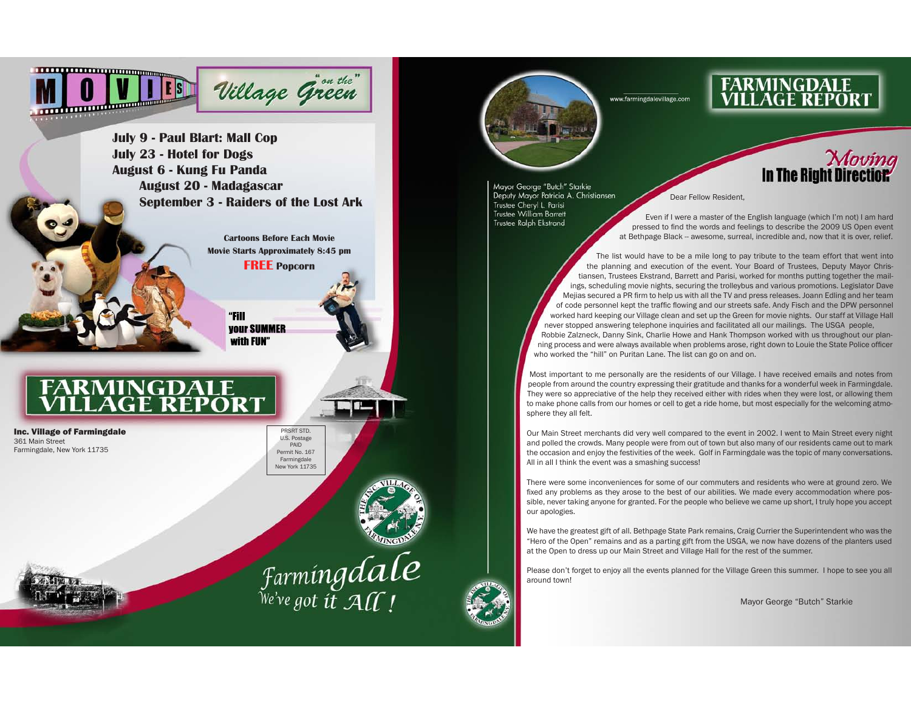

www.farmingdalevillage.com

**FARMINGDALE<br>VILLAGE REPORT** 



Mayor George "Butch" Starkie Deputy Mayor Patricia A. Christiansen Trustee Cheryl L. Parisi **Trustee William Barrett Trustee Ralph Ekstrand** 

### Dear Fellow Resident.

Even if I were a master of the English language (which I'm not) I am hard pressed to find the words and feelings to describe the 2009 US Open event at Bethpage Black - awesome, surreal, incredible and, now that it is over, relief.

The list would have to be a mile long to pay tribute to the team effort that went into the planning and execution of the event. Your Board of Trustees, Deputy Mayor Christiansen, Trustees Ekstrand, Barrett and Parisi, worked for months putting together the mailings, scheduling movie nights, securing the trolleybus and various promotions. Legislator Dave Meijas secured a PR firm to help us with all the TV and press releases. Joann Edling and her team of code personnel kept the traffic flowing and our streets safe. Andy Fisch and the DPW personnel worked hard keeping our Village clean and set up the Green for movie nights. Our staff at Village Hall never stopped answering telephone inquiries and facilitated all our mailings. The USGA people, Robbie Zalzneck, Danny Sink, Charlie Howe and Hank Thompson worked with us throughout our planning process and were always available when problems arose, right down to Louie the State Police officer who worked the "hill" on Puritan Lane. The list can go on and on.

Most important to me personally are the residents of our Village. I have received emails and notes from people from around the country expressing their gratitude and thanks for a wonderful week in Farmingdale. They were so appreciative of the help they received either with rides when they were lost, or allowing them to make phone calls from our homes or cell to get a ride home, but most especially for the welcoming atmosphere they all felt.

Our Main Street merchants did very well compared to the event in 2002. I went to Main Street every night and polled the crowds. Many people were from out of town but also many of our residents came out to mark the occasion and enjoy the festivities of the week. Golf in Farmingdale was the topic of many conversations. All in all I think the event was a smashing success!

There were some inconveniences for some of our commuters and residents who were at ground zero. We fixed any problems as they arose to the best of our abilities. We made every accommodation where possible, never taking anyone for granted. For the people who believe we came up short, I truly hope you accept our apologies.

We have the greatest gift of all. Bethpage State Park remains, Craig Currier the Superintendent who was the "Hero of the Open" remains and as a parting gift from the USGA, we now have dozens of the planters used at the Open to dress up our Main Street and Village Hall for the rest of the summer.

Please don't forget to enjoy all the events planned for the Village Green this summer. I hope to see you all around town!

Mayor George "Butch" Starkie